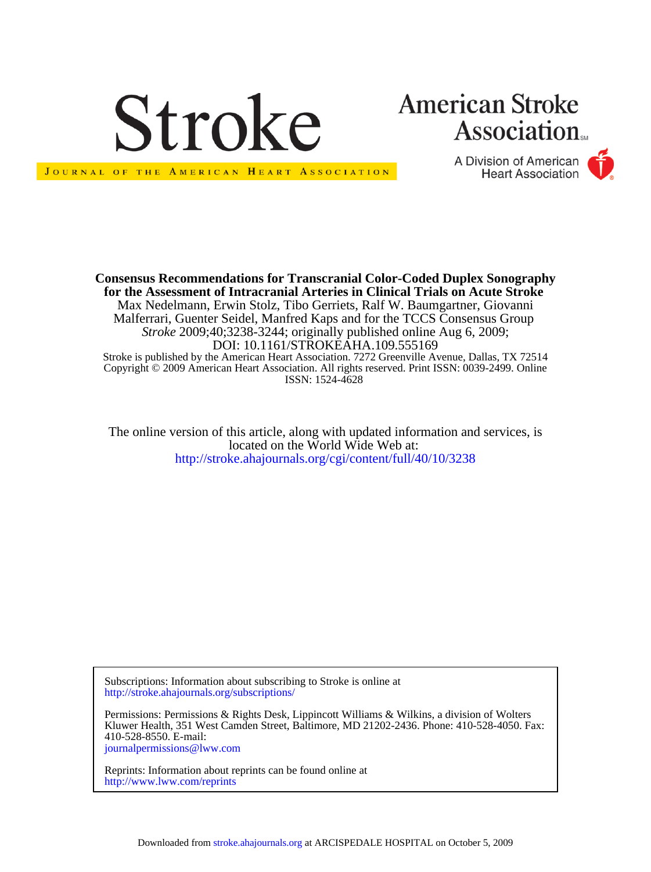

JOURNAL OF THE AMERICAN HEART ASSOCIATION

# **American Stroke Association**

A Division of American **Heart Association** 

Copyright © 2009 American Heart Association. All rights reserved. Print ISSN: 0039-2499. Online Stroke is published by the American Heart Association. 7272 Greenville Avenue, Dallas, TX 72514 DOI: 10.1161/STROKEAHA.109.555169 *Stroke* 2009;40;3238-3244; originally published online Aug 6, 2009; Malferrari, Guenter Seidel, Manfred Kaps and for the TCCS Consensus Group Max Nedelmann, Erwin Stolz, Tibo Gerriets, Ralf W. Baumgartner, Giovanni **for the Assessment of Intracranial Arteries in Clinical Trials on Acute Stroke Consensus Recommendations for Transcranial Color-Coded Duplex Sonography**

ISSN: 1524-4628

<http://stroke.ahajournals.org/cgi/content/full/40/10/3238> located on the World Wide Web at: The online version of this article, along with updated information and services, is

<http://stroke.ahajournals.org/subscriptions/> Subscriptions: Information about subscribing to Stroke is online at

[journalpermissions@lww.com](mailto:journalpermissions@lww.com) 410-528-8550. E-mail: Kluwer Health, 351 West Camden Street, Baltimore, MD 21202-2436. Phone: 410-528-4050. Fax: Permissions: Permissions & Rights Desk, Lippincott Williams & Wilkins, a division of Wolters

<http://www.lww.com/reprints> Reprints: Information about reprints can be found online at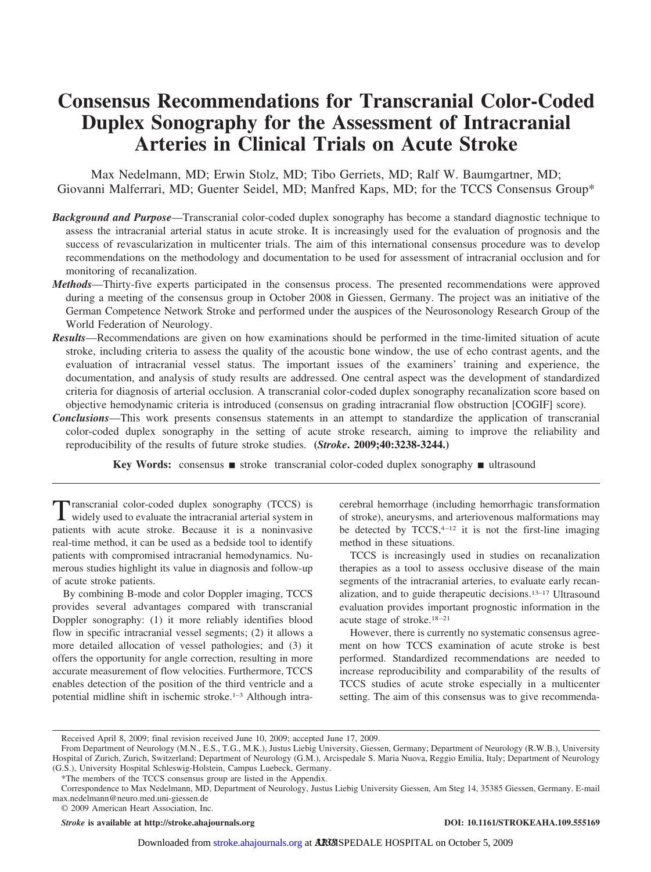# **Consensus Recommendations for Transcranial Color-Coded Duplex Sonography for the Assessment of Intracranial Arteries in Clinical Trials on Acute Stroke**

Max Nedelmann, MD; Erwin Stolz, MD; Tibo Gerriets, MD; Ralf W. Baumgartner, MD; Giovanni Malferrari, MD; Guenter Seidel, MD; Manfred Kaps, MD; for the TCCS Consensus Group\*

- *Background and Purpose*—Transcranial color-coded duplex sonography has become a standard diagnostic technique to assess the intracranial arterial status in acute stroke. It is increasingly used for the evaluation of prognosis and the success of revascularization in multicenter trials. The aim of this international consensus procedure was to develop recommendations on the methodology and documentation to be used for assessment of intracranial occlusion and for monitoring of recanalization.
- *Methods*—Thirty-five experts participated in the consensus process. The presented recommendations were approved during a meeting of the consensus group in October 2008 in Giessen, Germany. The project was an initiative of the German Competence Network Stroke and performed under the auspices of the Neurosonology Research Group of the World Federation of Neurology.
- *Results*—Recommendations are given on how examinations should be performed in the time-limited situation of acute stroke, including criteria to assess the quality of the acoustic bone window, the use of echo contrast agents, and the evaluation of intracranial vessel status. The important issues of the examiners' training and experience, the documentation, and analysis of study results are addressed. One central aspect was the development of standardized criteria for diagnosis of arterial occlusion. A transcranial color-coded duplex sonography recanalization score based on objective hemodynamic criteria is introduced (consensus on grading intracranial flow obstruction [COGIF] score).
- *Conclusions*—This work presents consensus statements in an attempt to standardize the application of transcranial color-coded duplex sonography in the setting of acute stroke research, aiming to improve the reliability and reproducibility of the results of future stroke studies. **(***Stroke***. 2009;40:3238-3244.)**

**Key Words:** consensus ■ stroke transcranial color-coded duplex sonography ■ ultrasound

Transcranial color-coded duplex sonography (TCCS) is widely used to evaluate the intracranial arterial system in patients with acute stroke. Because it is a noninvasive real-time method, it can be used as a bedside tool to identify patients with compromised intracranial hemodynamics. Numerous studies highlight its value in diagnosis and follow-up of acute stroke patients.

By combining B-mode and color Doppler imaging, TCCS provides several advantages compared with transcranial Doppler sonography: (1) it more reliably identifies blood flow in specific intracranial vessel segments; (2) it allows a more detailed allocation of vessel pathologies; and (3) it offers the opportunity for angle correction, resulting in more accurate measurement of flow velocities. Furthermore, TCCS enables detection of the position of the third ventricle and a potential midline shift in ischemic stroke.1–3 Although intracerebral hemorrhage (including hemorrhagic transformation of stroke), aneurysms, and arteriovenous malformations may be detected by  $TCCS$ ,  $4-12$  it is not the first-line imaging method in these situations.

TCCS is increasingly used in studies on recanalization therapies as a tool to assess occlusive disease of the main segments of the intracranial arteries, to evaluate early recanalization, and to guide therapeutic decisions.13–17 Ultrasound evaluation provides important prognostic information in the acute stage of stroke.18 –21

However, there is currently no systematic consensus agreement on how TCCS examination of acute stroke is best performed. Standardized recommendations are needed to increase reproducibility and comparability of the results of TCCS studies of acute stroke especially in a multicenter setting. The aim of this consensus was to give recommenda-

\*The members of the TCCS consensus group are listed in the Appendix.

*Stroke* is available at http://stroke.ahajournals.org **DOI: 10.1161/STROKEAHA.109.555169** 

Received April 8, 2009; final revision received June 10, 2009; accepted June 17, 2009.

From Department of Neurology (M.N., E.S., T.G., M.K.), Justus Liebig University, Giessen, Germany; Department of Neurology (R.W.B.), University Hospital of Zurich, Zurich, Switzerland; Department of Neurology (G.M.), Arcispedale S. Maria Nuova, Reggio Emilia, Italy; Department of Neurology (G.S.), University Hospital Schleswig-Holstein, Campus Luebeck, Germany.

Correspondence to Max Nedelmann, MD, Department of Neurology, Justus Liebig University Giessen, Am Steg 14, 35385 Giessen, Germany. E-mail max.nedelmann@neuro.med.uni-giessen.de

<sup>© 2009</sup> American Heart Association, Inc.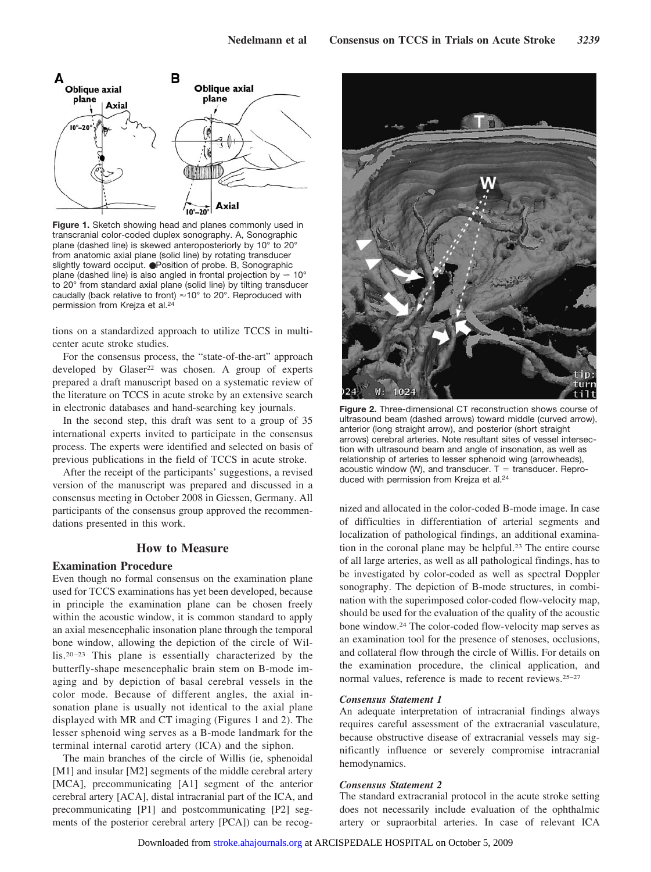

**Figure 1.** Sketch showing head and planes commonly used in transcranial color-coded duplex sonography. A, Sonographic plane (dashed line) is skewed anteroposteriorly by 10° to 20° from anatomic axial plane (solid line) by rotating transducer slightly toward occiput. ●Position of probe. B, Sonographic plane (dashed line) is also angled in frontal projection by  $\approx 10^{\circ}$ to 20° from standard axial plane (solid line) by tilting transducer caudally (back relative to front)  $\approx 10^{\circ}$  to 20°. Reproduced with permission from Krejza et al.24

tions on a standardized approach to utilize TCCS in multicenter acute stroke studies.

For the consensus process, the "state-of-the-art" approach developed by  $Glaser^{22}$  was chosen. A group of experts prepared a draft manuscript based on a systematic review of the literature on TCCS in acute stroke by an extensive search in electronic databases and hand-searching key journals.

In the second step, this draft was sent to a group of 35 international experts invited to participate in the consensus process. The experts were identified and selected on basis of previous publications in the field of TCCS in acute stroke.

After the receipt of the participants' suggestions, a revised version of the manuscript was prepared and discussed in a consensus meeting in October 2008 in Giessen, Germany. All participants of the consensus group approved the recommendations presented in this work.

# **How to Measure**

# **Examination Procedure**

Even though no formal consensus on the examination plane used for TCCS examinations has yet been developed, because in principle the examination plane can be chosen freely within the acoustic window, it is common standard to apply an axial mesencephalic insonation plane through the temporal bone window, allowing the depiction of the circle of Willis.20 –23 This plane is essentially characterized by the butterfly-shape mesencephalic brain stem on B-mode imaging and by depiction of basal cerebral vessels in the color mode. Because of different angles, the axial insonation plane is usually not identical to the axial plane displayed with MR and CT imaging (Figures 1 and 2). The lesser sphenoid wing serves as a B-mode landmark for the terminal internal carotid artery (ICA) and the siphon.

The main branches of the circle of Willis (ie, sphenoidal [M1] and insular [M2] segments of the middle cerebral artery [MCA], precommunicating [A1] segment of the anterior cerebral artery [ACA], distal intracranial part of the ICA, and precommunicating [P1] and postcommunicating [P2] segments of the posterior cerebral artery [PCA]) can be recog-



**Figure 2.** Three-dimensional CT reconstruction shows course of ultrasound beam (dashed arrows) toward middle (curved arrow), anterior (long straight arrow), and posterior (short straight arrows) cerebral arteries. Note resultant sites of vessel intersection with ultrasound beam and angle of insonation, as well as relationship of arteries to lesser sphenoid wing (arrowheads), acoustic window (W), and transducer.  $T =$  transducer. Reproduced with permission from Krejza et al.24

nized and allocated in the color-coded B-mode image. In case of difficulties in differentiation of arterial segments and localization of pathological findings, an additional examination in the coronal plane may be helpful.23 The entire course of all large arteries, as well as all pathological findings, has to be investigated by color-coded as well as spectral Doppler sonography. The depiction of B-mode structures, in combination with the superimposed color-coded flow-velocity map, should be used for the evaluation of the quality of the acoustic bone window.24 The color-coded flow-velocity map serves as an examination tool for the presence of stenoses, occlusions, and collateral flow through the circle of Willis. For details on the examination procedure, the clinical application, and normal values, reference is made to recent reviews.25–27

#### *Consensus Statement 1*

An adequate interpretation of intracranial findings always requires careful assessment of the extracranial vasculature, because obstructive disease of extracranial vessels may significantly influence or severely compromise intracranial hemodynamics.

#### *Consensus Statement 2*

The standard extracranial protocol in the acute stroke setting does not necessarily include evaluation of the ophthalmic artery or supraorbital arteries. In case of relevant ICA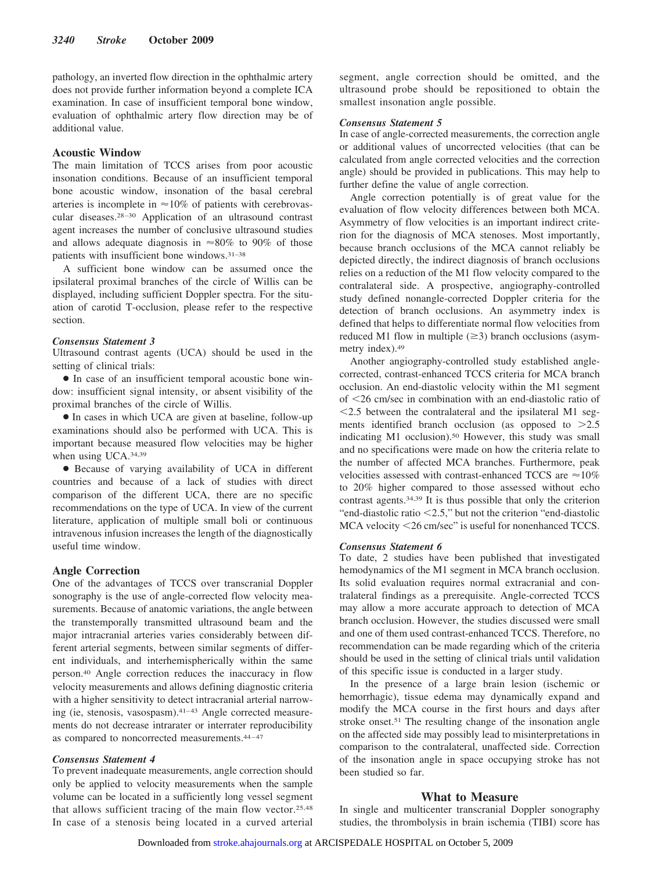pathology, an inverted flow direction in the ophthalmic artery does not provide further information beyond a complete ICA examination. In case of insufficient temporal bone window, evaluation of ophthalmic artery flow direction may be of additional value.

# **Acoustic Window**

The main limitation of TCCS arises from poor acoustic insonation conditions. Because of an insufficient temporal bone acoustic window, insonation of the basal cerebral arteries is incomplete in  $\approx 10\%$  of patients with cerebrovascular diseases.28 –30 Application of an ultrasound contrast agent increases the number of conclusive ultrasound studies and allows adequate diagnosis in  $\approx 80\%$  to 90% of those patients with insufficient bone windows.31–38

A sufficient bone window can be assumed once the ipsilateral proximal branches of the circle of Willis can be displayed, including sufficient Doppler spectra. For the situation of carotid T-occlusion, please refer to the respective section.

# *Consensus Statement 3*

Ultrasound contrast agents (UCA) should be used in the setting of clinical trials:

● In case of an insufficient temporal acoustic bone window: insufficient signal intensity, or absent visibility of the proximal branches of the circle of Willis.

● In cases in which UCA are given at baseline, follow-up examinations should also be performed with UCA. This is important because measured flow velocities may be higher when using UCA.34,39

● Because of varying availability of UCA in different countries and because of a lack of studies with direct comparison of the different UCA, there are no specific recommendations on the type of UCA. In view of the current literature, application of multiple small boli or continuous intravenous infusion increases the length of the diagnostically useful time window.

#### **Angle Correction**

One of the advantages of TCCS over transcranial Doppler sonography is the use of angle-corrected flow velocity measurements. Because of anatomic variations, the angle between the transtemporally transmitted ultrasound beam and the major intracranial arteries varies considerably between different arterial segments, between similar segments of different individuals, and interhemispherically within the same person.40 Angle correction reduces the inaccuracy in flow velocity measurements and allows defining diagnostic criteria with a higher sensitivity to detect intracranial arterial narrowing (ie, stenosis, vasospasm).<sup>41-43</sup> Angle corrected measurements do not decrease intrarater or interrater reproducibility as compared to noncorrected measurements.<sup>44-47</sup>

#### *Consensus Statement 4*

To prevent inadequate measurements, angle correction should only be applied to velocity measurements when the sample volume can be located in a sufficiently long vessel segment that allows sufficient tracing of the main flow vector.25,48 In case of a stenosis being located in a curved arterial segment, angle correction should be omitted, and the ultrasound probe should be repositioned to obtain the smallest insonation angle possible.

#### *Consensus Statement 5*

In case of angle-corrected measurements, the correction angle or additional values of uncorrected velocities (that can be calculated from angle corrected velocities and the correction angle) should be provided in publications. This may help to further define the value of angle correction.

Angle correction potentially is of great value for the evaluation of flow velocity differences between both MCA. Asymmetry of flow velocities is an important indirect criterion for the diagnosis of MCA stenoses. Most importantly, because branch occlusions of the MCA cannot reliably be depicted directly, the indirect diagnosis of branch occlusions relies on a reduction of the M1 flow velocity compared to the contralateral side. A prospective, angiography-controlled study defined nonangle-corrected Doppler criteria for the detection of branch occlusions. An asymmetry index is defined that helps to differentiate normal flow velocities from reduced M1 flow in multiple  $(\geq 3)$  branch occlusions (asymmetry index).49

Another angiography-controlled study established anglecorrected, contrast-enhanced TCCS criteria for MCA branch occlusion. An end-diastolic velocity within the M1 segment of 26 cm/sec in combination with an end-diastolic ratio of 2.5 between the contralateral and the ipsilateral M1 segments identified branch occlusion (as opposed to  $>2.5$ indicating M1 occlusion).<sup>50</sup> However, this study was small and no specifications were made on how the criteria relate to the number of affected MCA branches. Furthermore, peak velocities assessed with contrast-enhanced TCCS are  $\approx$  10% to 20% higher compared to those assessed without echo contrast agents.34,39 It is thus possible that only the criterion "end-diastolic ratio  $\leq$ 2.5," but not the criterion "end-diastolic MCA velocity <26 cm/sec" is useful for nonenhanced TCCS.

#### *Consensus Statement 6*

To date, 2 studies have been published that investigated hemodynamics of the M1 segment in MCA branch occlusion. Its solid evaluation requires normal extracranial and contralateral findings as a prerequisite. Angle-corrected TCCS may allow a more accurate approach to detection of MCA branch occlusion. However, the studies discussed were small and one of them used contrast-enhanced TCCS. Therefore, no recommendation can be made regarding which of the criteria should be used in the setting of clinical trials until validation of this specific issue is conducted in a larger study.

In the presence of a large brain lesion (ischemic or hemorrhagic), tissue edema may dynamically expand and modify the MCA course in the first hours and days after stroke onset.<sup>51</sup> The resulting change of the insonation angle on the affected side may possibly lead to misinterpretations in comparison to the contralateral, unaffected side. Correction of the insonation angle in space occupying stroke has not been studied so far.

#### **What to Measure**

In single and multicenter transcranial Doppler sonography studies, the thrombolysis in brain ischemia (TIBI) score has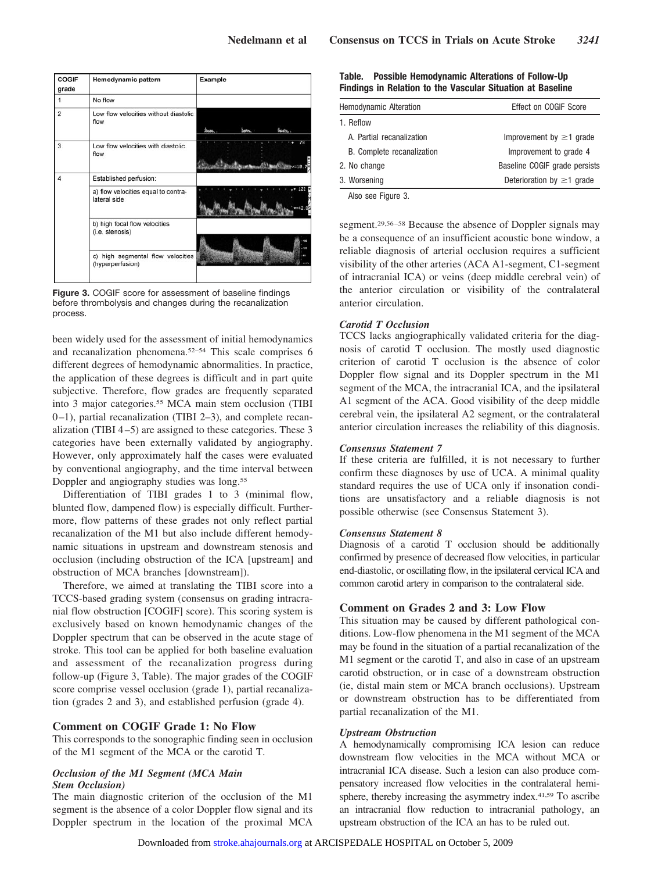| <b>COGIF</b><br>grade | Hemodynamic pattern                                   | Example                                       |
|-----------------------|-------------------------------------------------------|-----------------------------------------------|
|                       | No flow                                               |                                               |
| $\overline{2}$        | Low flow velocities without diastolic<br>flow         | bear.<br>لمجتدأ<br><b>Season,</b>             |
| 3                     | Low flow velocities with diastolic<br>flow            | 78<br><b>Chaustin Chan Chan Change - 18.7</b> |
| 4                     | Established perfusion:                                |                                               |
|                       | a) flow velocities equal to contra-<br>lateral side   | 122<br>242                                    |
|                       | b) high focal flow velocities<br>(i.e. stenosis)      | 420                                           |
|                       | c) high segmental flow velocities<br>(hyperperfusion) |                                               |
|                       |                                                       |                                               |

**Figure 3.** COGIF score for assessment of baseline findings before thrombolysis and changes during the recanalization process.

been widely used for the assessment of initial hemodynamics and recanalization phenomena.52–54 This scale comprises 6 different degrees of hemodynamic abnormalities. In practice, the application of these degrees is difficult and in part quite subjective. Therefore, flow grades are frequently separated into 3 major categories.55 MCA main stem occlusion (TIBI 0 –1), partial recanalization (TIBI 2–3), and complete recanalization (TIBI  $4-5$ ) are assigned to these categories. These 3 categories have been externally validated by angiography. However, only approximately half the cases were evaluated by conventional angiography, and the time interval between Doppler and angiography studies was long.<sup>55</sup>

Differentiation of TIBI grades 1 to 3 (minimal flow, blunted flow, dampened flow) is especially difficult. Furthermore, flow patterns of these grades not only reflect partial recanalization of the M1 but also include different hemodynamic situations in upstream and downstream stenosis and occlusion (including obstruction of the ICA [upstream] and obstruction of MCA branches [downstream]).

Therefore, we aimed at translating the TIBI score into a TCCS-based grading system (consensus on grading intracranial flow obstruction [COGIF] score). This scoring system is exclusively based on known hemodynamic changes of the Doppler spectrum that can be observed in the acute stage of stroke. This tool can be applied for both baseline evaluation and assessment of the recanalization progress during follow-up (Figure 3, Table). The major grades of the COGIF score comprise vessel occlusion (grade 1), partial recanalization (grades 2 and 3), and established perfusion (grade 4).

#### **Comment on COGIF Grade 1: No Flow**

This corresponds to the sonographic finding seen in occlusion of the M1 segment of the MCA or the carotid T.

#### *Occlusion of the M1 Segment (MCA Main Stem Occlusion)*

The main diagnostic criterion of the occlusion of the M1 segment is the absence of a color Doppler flow signal and its Doppler spectrum in the location of the proximal MCA

| Table. |  |  | <b>Possible Hemodynamic Alterations of Follow-Up</b>       |
|--------|--|--|------------------------------------------------------------|
|        |  |  | Findings in Relation to the Vascular Situation at Baseline |

| Hemodynamic Alteration     | Effect on COGIF Score           |  |  |
|----------------------------|---------------------------------|--|--|
| 1. Reflow                  |                                 |  |  |
| A. Partial recanalization  | Improvement by $\geq$ 1 grade   |  |  |
| B. Complete recanalization | Improvement to grade 4          |  |  |
| 2. No change               | Baseline COGIF grade persists   |  |  |
| 3. Worsening               | Deterioration by $\geq 1$ grade |  |  |
| Also see Figure 3          |                                 |  |  |

Also see Figure 3.

segment.<sup>29,56-58</sup> Because the absence of Doppler signals may be a consequence of an insufficient acoustic bone window, a reliable diagnosis of arterial occlusion requires a sufficient visibility of the other arteries (ACA A1-segment, C1-segment of intracranial ICA) or veins (deep middle cerebral vein) of the anterior circulation or visibility of the contralateral anterior circulation.

# *Carotid T Occlusion*

TCCS lacks angiographically validated criteria for the diagnosis of carotid T occlusion. The mostly used diagnostic criterion of carotid T occlusion is the absence of color Doppler flow signal and its Doppler spectrum in the M1 segment of the MCA, the intracranial ICA, and the ipsilateral A1 segment of the ACA. Good visibility of the deep middle cerebral vein, the ipsilateral A2 segment, or the contralateral anterior circulation increases the reliability of this diagnosis.

# *Consensus Statement 7*

If these criteria are fulfilled, it is not necessary to further confirm these diagnoses by use of UCA. A minimal quality standard requires the use of UCA only if insonation conditions are unsatisfactory and a reliable diagnosis is not possible otherwise (see Consensus Statement 3).

#### *Consensus Statement 8*

Diagnosis of a carotid T occlusion should be additionally confirmed by presence of decreased flow velocities, in particular end-diastolic, or oscillating flow, in the ipsilateral cervical ICA and common carotid artery in comparison to the contralateral side.

# **Comment on Grades 2 and 3: Low Flow**

This situation may be caused by different pathological conditions. Low-flow phenomena in the M1 segment of the MCA may be found in the situation of a partial recanalization of the M1 segment or the carotid T, and also in case of an upstream carotid obstruction, or in case of a downstream obstruction (ie, distal main stem or MCA branch occlusions). Upstream or downstream obstruction has to be differentiated from partial recanalization of the M1.

# *Upstream Obstruction*

A hemodynamically compromising ICA lesion can reduce downstream flow velocities in the MCA without MCA or intracranial ICA disease. Such a lesion can also produce compensatory increased flow velocities in the contralateral hemisphere, thereby increasing the asymmetry index.41,59 To ascribe an intracranial flow reduction to intracranial pathology, an upstream obstruction of the ICA an has to be ruled out.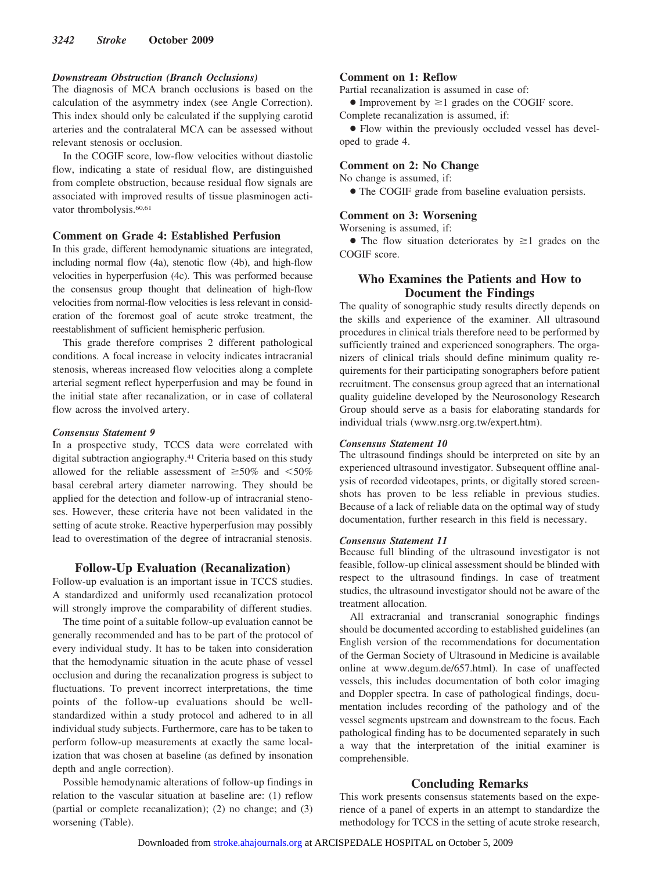#### *Downstream Obstruction (Branch Occlusions)*

The diagnosis of MCA branch occlusions is based on the calculation of the asymmetry index (see Angle Correction). This index should only be calculated if the supplying carotid arteries and the contralateral MCA can be assessed without relevant stenosis or occlusion.

In the COGIF score, low-flow velocities without diastolic flow, indicating a state of residual flow, are distinguished from complete obstruction, because residual flow signals are associated with improved results of tissue plasminogen activator thrombolysis.<sup>60,61</sup>

# **Comment on Grade 4: Established Perfusion**

In this grade, different hemodynamic situations are integrated, including normal flow (4a), stenotic flow (4b), and high-flow velocities in hyperperfusion (4c). This was performed because the consensus group thought that delineation of high-flow velocities from normal-flow velocities is less relevant in consideration of the foremost goal of acute stroke treatment, the reestablishment of sufficient hemispheric perfusion.

This grade therefore comprises 2 different pathological conditions. A focal increase in velocity indicates intracranial stenosis, whereas increased flow velocities along a complete arterial segment reflect hyperperfusion and may be found in the initial state after recanalization, or in case of collateral flow across the involved artery.

#### *Consensus Statement 9*

In a prospective study, TCCS data were correlated with digital subtraction angiography.41 Criteria based on this study allowed for the reliable assessment of  $\geq 50\%$  and  $\leq 50\%$ basal cerebral artery diameter narrowing. They should be applied for the detection and follow-up of intracranial stenoses. However, these criteria have not been validated in the setting of acute stroke. Reactive hyperperfusion may possibly lead to overestimation of the degree of intracranial stenosis.

#### **Follow-Up Evaluation (Recanalization)**

Follow-up evaluation is an important issue in TCCS studies. A standardized and uniformly used recanalization protocol will strongly improve the comparability of different studies.

The time point of a suitable follow-up evaluation cannot be generally recommended and has to be part of the protocol of every individual study. It has to be taken into consideration that the hemodynamic situation in the acute phase of vessel occlusion and during the recanalization progress is subject to fluctuations. To prevent incorrect interpretations, the time points of the follow-up evaluations should be wellstandardized within a study protocol and adhered to in all individual study subjects. Furthermore, care has to be taken to perform follow-up measurements at exactly the same localization that was chosen at baseline (as defined by insonation depth and angle correction).

Possible hemodynamic alterations of follow-up findings in relation to the vascular situation at baseline are: (1) reflow (partial or complete recanalization); (2) no change; and (3) worsening (Table).

#### **Comment on 1: Reflow**

Partial recanalization is assumed in case of:

• Improvement by  $\geq 1$  grades on the COGIF score.

Complete recanalization is assumed, if:

● Flow within the previously occluded vessel has developed to grade 4.

# **Comment on 2: No Change**

No change is assumed, if:

• The COGIF grade from baseline evaluation persists.

#### **Comment on 3: Worsening**

Worsening is assumed, if:

• The flow situation deteriorates by  $\geq 1$  grades on the COGIF score.

# **Who Examines the Patients and How to Document the Findings**

The quality of sonographic study results directly depends on the skills and experience of the examiner. All ultrasound procedures in clinical trials therefore need to be performed by sufficiently trained and experienced sonographers. The organizers of clinical trials should define minimum quality requirements for their participating sonographers before patient recruitment. The consensus group agreed that an international quality guideline developed by the Neurosonology Research Group should serve as a basis for elaborating standards for individual trials (www.nsrg.org.tw/expert.htm).

#### *Consensus Statement 10*

The ultrasound findings should be interpreted on site by an experienced ultrasound investigator. Subsequent offline analysis of recorded videotapes, prints, or digitally stored screenshots has proven to be less reliable in previous studies. Because of a lack of reliable data on the optimal way of study documentation, further research in this field is necessary.

#### *Consensus Statement 11*

Because full blinding of the ultrasound investigator is not feasible, follow-up clinical assessment should be blinded with respect to the ultrasound findings. In case of treatment studies, the ultrasound investigator should not be aware of the treatment allocation.

All extracranial and transcranial sonographic findings should be documented according to established guidelines (an English version of the recommendations for documentation of the German Society of Ultrasound in Medicine is available online at www.degum.de/657.html). In case of unaffected vessels, this includes documentation of both color imaging and Doppler spectra. In case of pathological findings, documentation includes recording of the pathology and of the vessel segments upstream and downstream to the focus. Each pathological finding has to be documented separately in such a way that the interpretation of the initial examiner is comprehensible.

# **Concluding Remarks**

This work presents consensus statements based on the experience of a panel of experts in an attempt to standardize the methodology for TCCS in the setting of acute stroke research,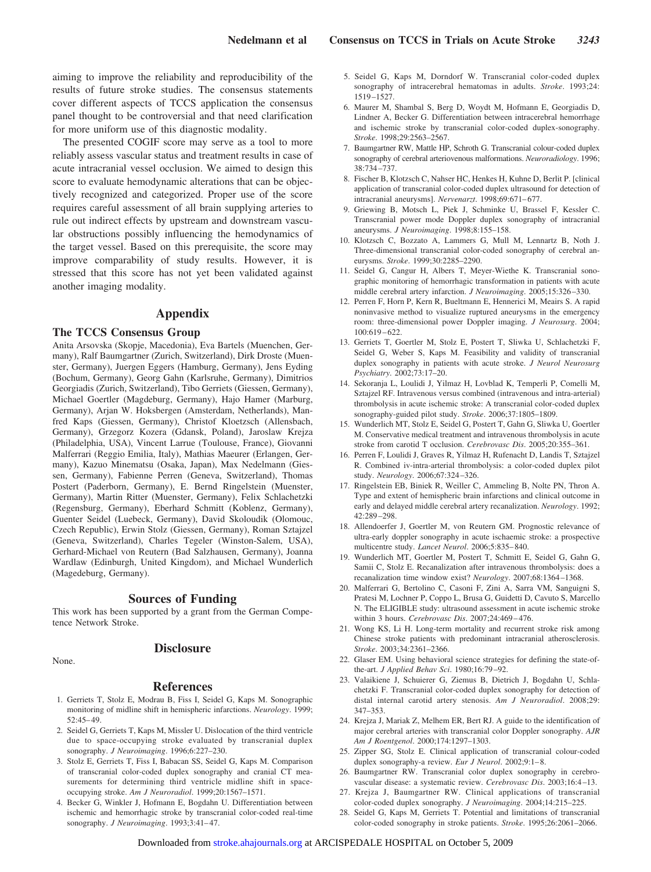aiming to improve the reliability and reproducibility of the results of future stroke studies. The consensus statements cover different aspects of TCCS application the consensus panel thought to be controversial and that need clarification for more uniform use of this diagnostic modality.

The presented COGIF score may serve as a tool to more reliably assess vascular status and treatment results in case of acute intracranial vessel occlusion. We aimed to design this score to evaluate hemodynamic alterations that can be objectively recognized and categorized. Proper use of the score requires careful assessment of all brain supplying arteries to rule out indirect effects by upstream and downstream vascular obstructions possibly influencing the hemodynamics of the target vessel. Based on this prerequisite, the score may improve comparability of study results. However, it is stressed that this score has not yet been validated against another imaging modality.

# **Appendix**

#### **The TCCS Consensus Group**

Anita Arsovska (Skopje, Macedonia), Eva Bartels (Muenchen, Germany), Ralf Baumgartner (Zurich, Switzerland), Dirk Droste (Muenster, Germany), Juergen Eggers (Hamburg, Germany), Jens Eyding (Bochum, Germany), Georg Gahn (Karlsruhe, Germany), Dimitrios Georgiadis (Zurich, Switzerland), Tibo Gerriets (Giessen, Germany), Michael Goertler (Magdeburg, Germany), Hajo Hamer (Marburg, Germany), Arjan W. Hoksbergen (Amsterdam, Netherlands), Manfred Kaps (Giessen, Germany), Christof Kloetzsch (Allensbach, Germany), Grzegorz Kozera (Gdansk, Poland), Jaroslaw Krejza (Philadelphia, USA), Vincent Larrue (Toulouse, France), Giovanni Malferrari (Reggio Emilia, Italy), Mathias Maeurer (Erlangen, Germany), Kazuo Minematsu (Osaka, Japan), Max Nedelmann (Giessen, Germany), Fabienne Perren (Geneva, Switzerland), Thomas Postert (Paderborn, Germany), E. Bernd Ringelstein (Muenster, Germany), Martin Ritter (Muenster, Germany), Felix Schlachetzki (Regensburg, Germany), Eberhard Schmitt (Koblenz, Germany), Guenter Seidel (Luebeck, Germany), David Skoloudik (Olomouc, Czech Republic), Erwin Stolz (Giessen, Germany), Roman Sztajzel (Geneva, Switzerland), Charles Tegeler (Winston-Salem, USA), Gerhard-Michael von Reutern (Bad Salzhausen, Germany), Joanna Wardlaw (Edinburgh, United Kingdom), and Michael Wunderlich (Magedeburg, Germany).

#### **Sources of Funding**

This work has been supported by a grant from the German Competence Network Stroke.

None.

# **Disclosure**

#### **References**

- 1. Gerriets T, Stolz E, Modrau B, Fiss I, Seidel G, Kaps M. Sonographic monitoring of midline shift in hemispheric infarctions. *Neurology*. 1999; 52:45– 49.
- 2. Seidel G, Gerriets T, Kaps M, Missler U. Dislocation of the third ventricle due to space-occupying stroke evaluated by transcranial duplex sonography. *J Neuroimaging*. 1996;6:227–230.
- 3. Stolz E, Gerriets T, Fiss I, Babacan SS, Seidel G, Kaps M. Comparison of transcranial color-coded duplex sonography and cranial CT measurements for determining third ventricle midline shift in spaceoccupying stroke. *Am J Neuroradiol*. 1999;20:1567–1571.
- 4. Becker G, Winkler J, Hofmann E, Bogdahn U. Differentiation between ischemic and hemorrhagic stroke by transcranial color-coded real-time sonography. *J Neuroimaging*. 1993;3:41– 47.
- 5. Seidel G, Kaps M, Dorndorf W. Transcranial color-coded duplex sonography of intracerebral hematomas in adults. *Stroke*. 1993;24: 1519 –1527.
- 6. Maurer M, Shambal S, Berg D, Woydt M, Hofmann E, Georgiadis D, Lindner A, Becker G. Differentiation between intracerebral hemorrhage and ischemic stroke by transcranial color-coded duplex-sonography. *Stroke*. 1998;29:2563–2567.
- 7. Baumgartner RW, Mattle HP, Schroth G. Transcranial colour-coded duplex sonography of cerebral arteriovenous malformations. *Neuroradiology*. 1996; 38:734 –737.
- 8. Fischer B, Klotzsch C, Nahser HC, Henkes H, Kuhne D, Berlit P. [clinical application of transcranial color-coded duplex ultrasound for detection of intracranial aneurysms]. *Nervenarzt*. 1998;69:671-677.
- 9. Griewing B, Motsch L, Piek J, Schminke U, Brassel F, Kessler C. Transcranial power mode Doppler duplex sonography of intracranial aneurysms. *J Neuroimaging*. 1998;8:155–158.
- 10. Klotzsch C, Bozzato A, Lammers G, Mull M, Lennartz B, Noth J. Three-dimensional transcranial color-coded sonography of cerebral aneurysms. *Stroke*. 1999;30:2285–2290.
- 11. Seidel G, Cangur H, Albers T, Meyer-Wiethe K. Transcranial sonographic monitoring of hemorrhagic transformation in patients with acute middle cerebral artery infarction. *J Neuroimaging*. 2005;15:326 –330.
- 12. Perren F, Horn P, Kern R, Bueltmann E, Hennerici M, Meairs S. A rapid noninvasive method to visualize ruptured aneurysms in the emergency room: three-dimensional power Doppler imaging. *J Neurosurg*. 2004; 100:619 – 622.
- 13. Gerriets T, Goertler M, Stolz E, Postert T, Sliwka U, Schlachetzki F, Seidel G, Weber S, Kaps M. Feasibility and validity of transcranial duplex sonography in patients with acute stroke. *J Neurol Neurosurg Psychiatry*. 2002;73:17–20.
- 14. Sekoranja L, Loulidi J, Yilmaz H, Lovblad K, Temperli P, Comelli M, Sztajzel RF. Intravenous versus combined (intravenous and intra-arterial) thrombolysis in acute ischemic stroke: A transcranial color-coded duplex sonography-guided pilot study. *Stroke*. 2006;37:1805–1809.
- 15. Wunderlich MT, Stolz E, Seidel G, Postert T, Gahn G, Sliwka U, Goertler M. Conservative medical treatment and intravenous thrombolysis in acute stroke from carotid T occlusion. *Cerebrovasc Dis*. 2005;20:355–361.
- 16. Perren F, Loulidi J, Graves R, Yilmaz H, Rufenacht D, Landis T, Sztajzel R. Combined iv-intra-arterial thrombolysis: a color-coded duplex pilot study. *Neurology*. 2006;67:324 –326.
- 17. Ringelstein EB, Biniek R, Weiller C, Ammeling B, Nolte PN, Thron A. Type and extent of hemispheric brain infarctions and clinical outcome in early and delayed middle cerebral artery recanalization. *Neurology*. 1992; 42:289 –298.
- 18. Allendoerfer J, Goertler M, von Reutern GM. Prognostic relevance of ultra-early doppler sonography in acute ischaemic stroke: a prospective multicentre study. *Lancet Neurol*. 2006;5:835– 840.
- 19. Wunderlich MT, Goertler M, Postert T, Schmitt E, Seidel G, Gahn G, Samii C, Stolz E. Recanalization after intravenous thrombolysis: does a recanalization time window exist? *Neurology*. 2007;68:1364 –1368.
- 20. Malferrari G, Bertolino C, Casoni F, Zini A, Sarra VM, Sanguigni S, Pratesi M, Lochner P, Coppo L, Brusa G, Guidetti D, Cavuto S, Marcello N. The ELIGIBLE study: ultrasound assessment in acute ischemic stroke within 3 hours. *Cerebrovasc Dis*. 2007;24:469 – 476.
- 21. Wong KS, Li H. Long-term mortality and recurrent stroke risk among Chinese stroke patients with predominant intracranial atherosclerosis. *Stroke*. 2003;34:2361–2366.
- 22. Glaser EM. Using behavioral science strategies for defining the state-ofthe-art. *J Applied Behav Sci*. 1980;16:79 –92.
- 23. Valaikiene J, Schuierer G, Ziemus B, Dietrich J, Bogdahn U, Schlachetzki F. Transcranial color-coded duplex sonography for detection of distal internal carotid artery stenosis. *Am J Neuroradiol*. 2008;29: 347–353.
- 24. Krejza J, Mariak Z, Melhem ER, Bert RJ. A guide to the identification of major cerebral arteries with transcranial color Doppler sonography. *AJR Am J Roentgenol*. 2000;174:1297–1303.
- 25. Zipper SG, Stolz E. Clinical application of transcranial colour-coded duplex sonography-a review. *Eur J Neurol*. 2002;9:1-8.
- 26. Baumgartner RW. Transcranial color duplex sonography in cerebrovascular disease: a systematic review. *Cerebrovasc Dis*. 2003;16:4 –13.
- 27. Krejza J, Baumgartner RW. Clinical applications of transcranial color-coded duplex sonography. *J Neuroimaging*. 2004;14:215–225.
- 28. Seidel G, Kaps M, Gerriets T. Potential and limitations of transcranial color-coded sonography in stroke patients. *Stroke*. 1995;26:2061–2066.